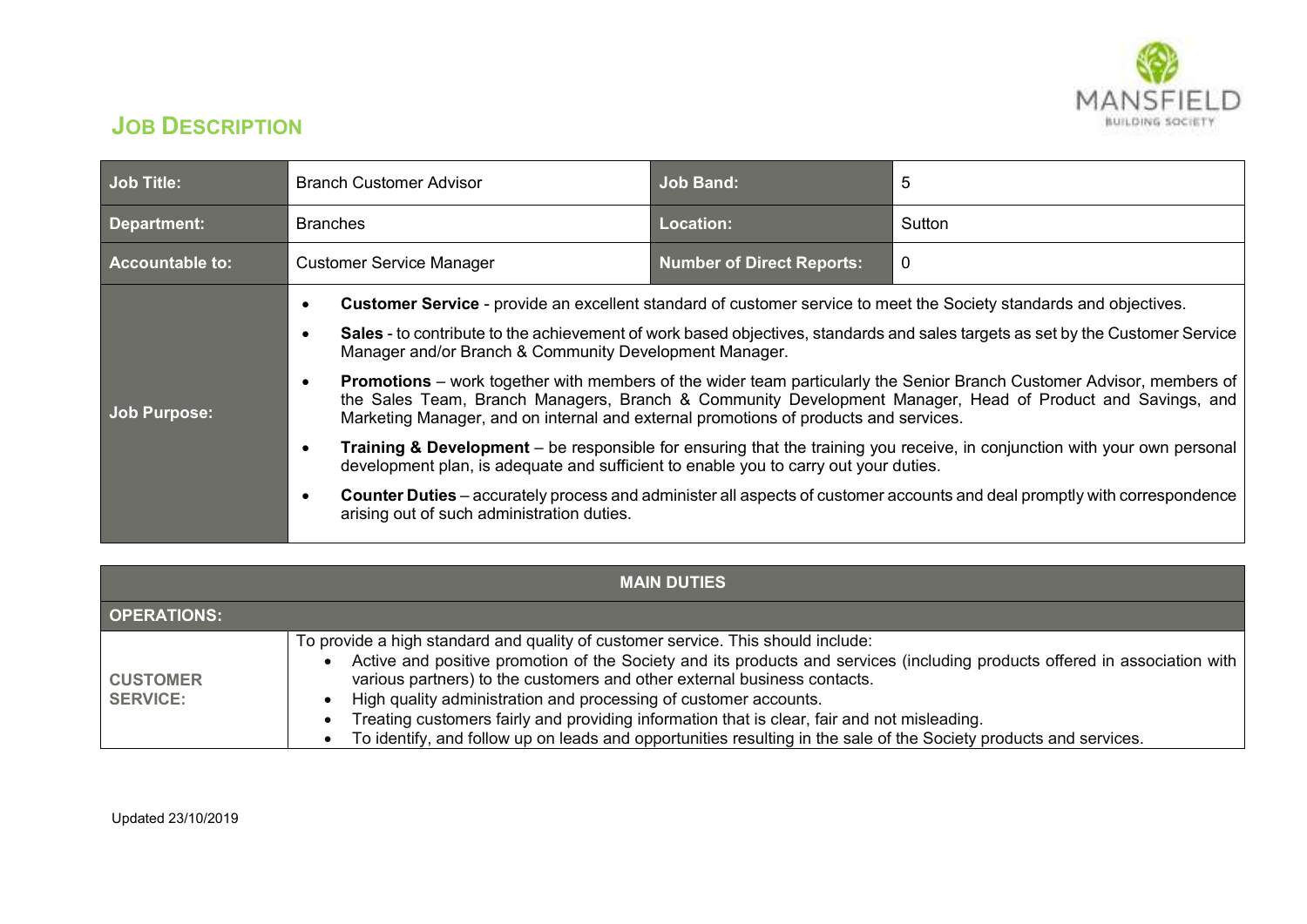

## **JOB DESCRIPTION**

| Job Title:      | <b>Branch Customer Advisor</b>                                                                                                                                                                                                                                                                                                                                                                                                                                                                                                                                                                                                                                                                                                                                                                                                                                                                                                                                                                                                                                              | <b>Job Band:</b>                 | 5           |
|-----------------|-----------------------------------------------------------------------------------------------------------------------------------------------------------------------------------------------------------------------------------------------------------------------------------------------------------------------------------------------------------------------------------------------------------------------------------------------------------------------------------------------------------------------------------------------------------------------------------------------------------------------------------------------------------------------------------------------------------------------------------------------------------------------------------------------------------------------------------------------------------------------------------------------------------------------------------------------------------------------------------------------------------------------------------------------------------------------------|----------------------------------|-------------|
| Department:     | <b>Branches</b>                                                                                                                                                                                                                                                                                                                                                                                                                                                                                                                                                                                                                                                                                                                                                                                                                                                                                                                                                                                                                                                             | Location:                        | Sutton      |
| Accountable to: | <b>Customer Service Manager</b>                                                                                                                                                                                                                                                                                                                                                                                                                                                                                                                                                                                                                                                                                                                                                                                                                                                                                                                                                                                                                                             | <b>Number of Direct Reports:</b> | $\mathbf 0$ |
| Job Purpose:    | Customer Service - provide an excellent standard of customer service to meet the Society standards and objectives.<br>Sales - to contribute to the achievement of work based objectives, standards and sales targets as set by the Customer Service<br>Manager and/or Branch & Community Development Manager.<br><b>Promotions</b> – work together with members of the wider team particularly the Senior Branch Customer Advisor, members of<br>$\bullet$<br>the Sales Team, Branch Managers, Branch & Community Development Manager, Head of Product and Savings, and<br>Marketing Manager, and on internal and external promotions of products and services.<br>Training & Development – be responsible for ensuring that the training you receive, in conjunction with your own personal<br>development plan, is adequate and sufficient to enable you to carry out your duties.<br><b>Counter Duties</b> – accurately process and administer all aspects of customer accounts and deal promptly with correspondence<br>٠<br>arising out of such administration duties. |                                  |             |

| <b>MAIN DUTIES</b>                 |                                                                                                                                                                                                                                                                                                                                                                                                                                                                                                                                                                                      |  |  |  |
|------------------------------------|--------------------------------------------------------------------------------------------------------------------------------------------------------------------------------------------------------------------------------------------------------------------------------------------------------------------------------------------------------------------------------------------------------------------------------------------------------------------------------------------------------------------------------------------------------------------------------------|--|--|--|
| <b>OPERATIONS:</b>                 |                                                                                                                                                                                                                                                                                                                                                                                                                                                                                                                                                                                      |  |  |  |
| <b>CUSTOMER</b><br><b>SERVICE:</b> | To provide a high standard and quality of customer service. This should include:<br>Active and positive promotion of the Society and its products and services (including products offered in association with  <br>various partners) to the customers and other external business contacts.<br>High quality administration and processing of customer accounts.<br>Treating customers fairly and providing information that is clear, fair and not misleading.<br>To identify, and follow up on leads and opportunities resulting in the sale of the Society products and services. |  |  |  |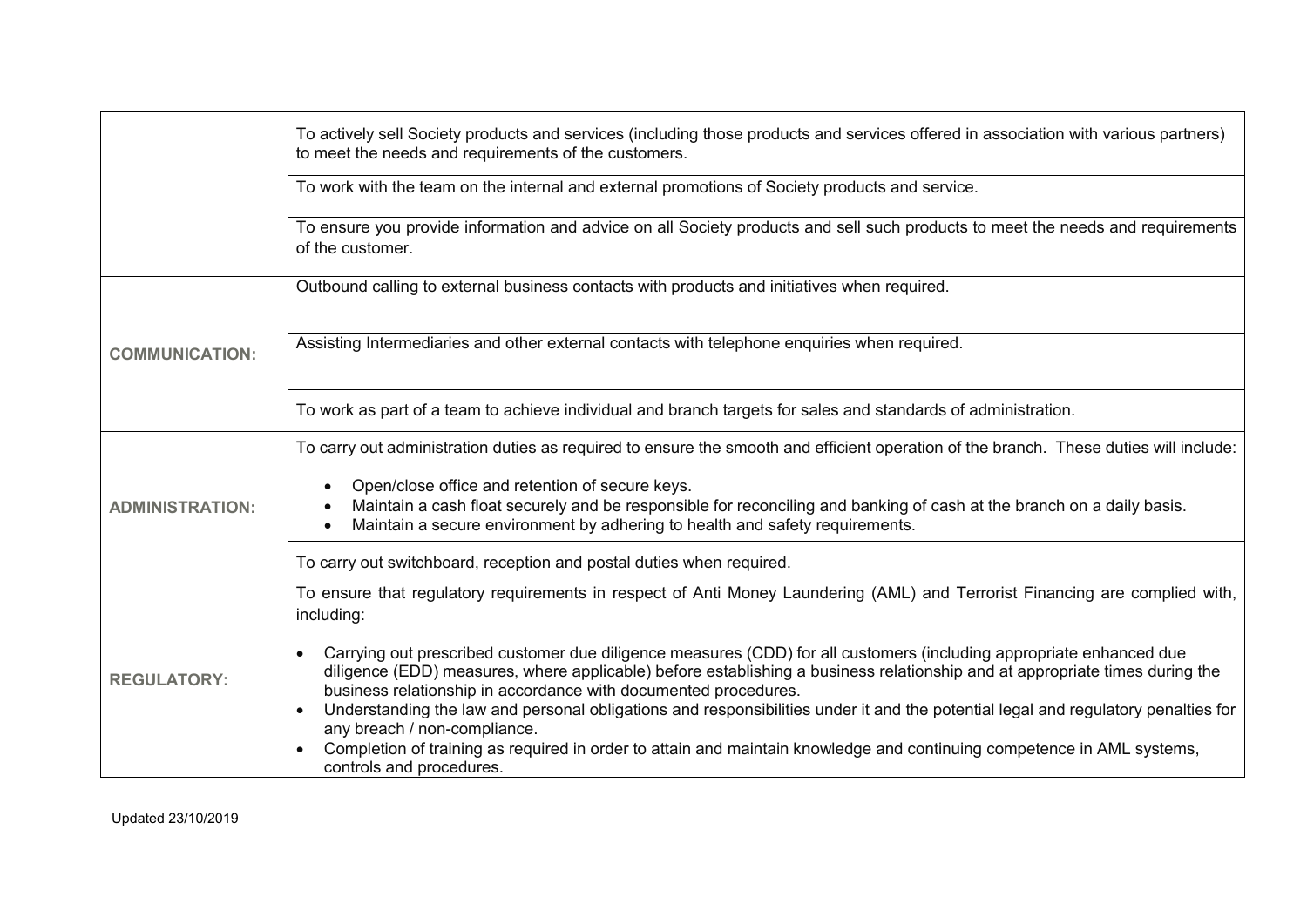|                        | To actively sell Society products and services (including those products and services offered in association with various partners)<br>to meet the needs and requirements of the customers.                                                                                                                                                                                                                                                                |  |  |
|------------------------|------------------------------------------------------------------------------------------------------------------------------------------------------------------------------------------------------------------------------------------------------------------------------------------------------------------------------------------------------------------------------------------------------------------------------------------------------------|--|--|
|                        | To work with the team on the internal and external promotions of Society products and service.                                                                                                                                                                                                                                                                                                                                                             |  |  |
|                        | To ensure you provide information and advice on all Society products and sell such products to meet the needs and requirements<br>of the customer.                                                                                                                                                                                                                                                                                                         |  |  |
|                        | Outbound calling to external business contacts with products and initiatives when required.                                                                                                                                                                                                                                                                                                                                                                |  |  |
| <b>COMMUNICATION:</b>  | Assisting Intermediaries and other external contacts with telephone enquiries when required.                                                                                                                                                                                                                                                                                                                                                               |  |  |
|                        | To work as part of a team to achieve individual and branch targets for sales and standards of administration.                                                                                                                                                                                                                                                                                                                                              |  |  |
| <b>ADMINISTRATION:</b> | To carry out administration duties as required to ensure the smooth and efficient operation of the branch. These duties will include:                                                                                                                                                                                                                                                                                                                      |  |  |
|                        | Open/close office and retention of secure keys.<br>Maintain a cash float securely and be responsible for reconciling and banking of cash at the branch on a daily basis.<br>Maintain a secure environment by adhering to health and safety requirements.                                                                                                                                                                                                   |  |  |
|                        | To carry out switchboard, reception and postal duties when required.                                                                                                                                                                                                                                                                                                                                                                                       |  |  |
| <b>REGULATORY:</b>     | To ensure that regulatory requirements in respect of Anti Money Laundering (AML) and Terrorist Financing are complied with,<br>including:                                                                                                                                                                                                                                                                                                                  |  |  |
|                        | Carrying out prescribed customer due diligence measures (CDD) for all customers (including appropriate enhanced due<br>diligence (EDD) measures, where applicable) before establishing a business relationship and at appropriate times during the<br>business relationship in accordance with documented procedures.<br>Understanding the law and personal obligations and responsibilities under it and the potential legal and regulatory penalties for |  |  |
|                        | any breach / non-compliance.<br>Completion of training as required in order to attain and maintain knowledge and continuing competence in AML systems,<br>controls and procedures.                                                                                                                                                                                                                                                                         |  |  |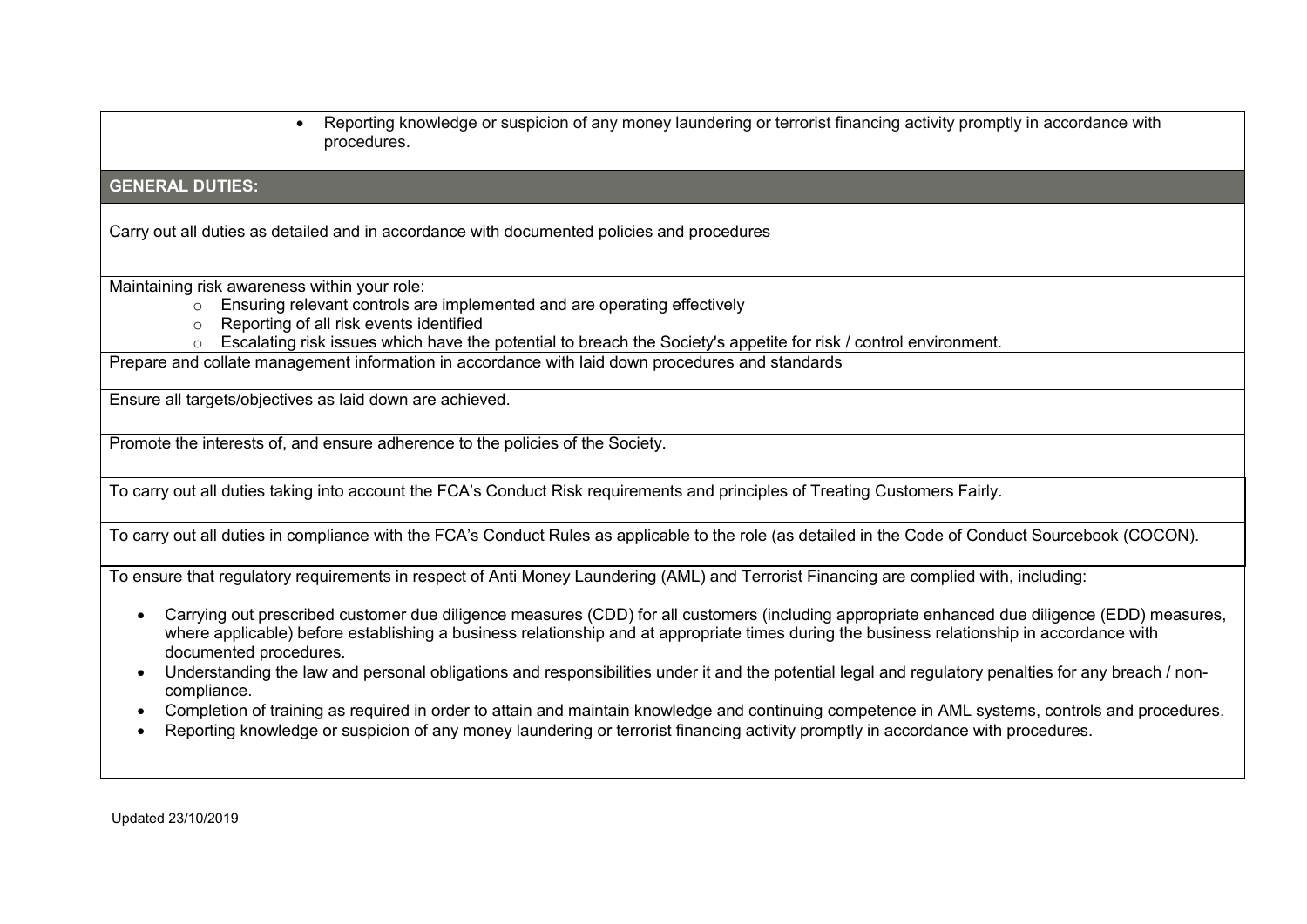| Reporting knowledge or suspicion of any money laundering or terrorist financing activity promptly in accordance with<br>procedures.                                                                                                                                                                                                                                                                                                                                                                                                                                                                                                                                                                                                                                                             |  |  |  |  |
|-------------------------------------------------------------------------------------------------------------------------------------------------------------------------------------------------------------------------------------------------------------------------------------------------------------------------------------------------------------------------------------------------------------------------------------------------------------------------------------------------------------------------------------------------------------------------------------------------------------------------------------------------------------------------------------------------------------------------------------------------------------------------------------------------|--|--|--|--|
| <b>GENERAL DUTIES:</b>                                                                                                                                                                                                                                                                                                                                                                                                                                                                                                                                                                                                                                                                                                                                                                          |  |  |  |  |
| Carry out all duties as detailed and in accordance with documented policies and procedures                                                                                                                                                                                                                                                                                                                                                                                                                                                                                                                                                                                                                                                                                                      |  |  |  |  |
| Maintaining risk awareness within your role:<br>Ensuring relevant controls are implemented and are operating effectively<br>Reporting of all risk events identified<br>$\Omega$<br>Escalating risk issues which have the potential to breach the Society's appetite for risk / control environment.                                                                                                                                                                                                                                                                                                                                                                                                                                                                                             |  |  |  |  |
| Prepare and collate management information in accordance with laid down procedures and standards                                                                                                                                                                                                                                                                                                                                                                                                                                                                                                                                                                                                                                                                                                |  |  |  |  |
| Ensure all targets/objectives as laid down are achieved.                                                                                                                                                                                                                                                                                                                                                                                                                                                                                                                                                                                                                                                                                                                                        |  |  |  |  |
| Promote the interests of, and ensure adherence to the policies of the Society.                                                                                                                                                                                                                                                                                                                                                                                                                                                                                                                                                                                                                                                                                                                  |  |  |  |  |
| To carry out all duties taking into account the FCA's Conduct Risk requirements and principles of Treating Customers Fairly.                                                                                                                                                                                                                                                                                                                                                                                                                                                                                                                                                                                                                                                                    |  |  |  |  |
| To carry out all duties in compliance with the FCA's Conduct Rules as applicable to the role (as detailed in the Code of Conduct Sourcebook (COCON).                                                                                                                                                                                                                                                                                                                                                                                                                                                                                                                                                                                                                                            |  |  |  |  |
| To ensure that regulatory requirements in respect of Anti Money Laundering (AML) and Terrorist Financing are complied with, including:                                                                                                                                                                                                                                                                                                                                                                                                                                                                                                                                                                                                                                                          |  |  |  |  |
| Carrying out prescribed customer due diligence measures (CDD) for all customers (including appropriate enhanced due diligence (EDD) measures,<br>where applicable) before establishing a business relationship and at appropriate times during the business relationship in accordance with<br>documented procedures.<br>Understanding the law and personal obligations and responsibilities under it and the potential legal and regulatory penalties for any breach / non-<br>compliance.<br>Completion of training as required in order to attain and maintain knowledge and continuing competence in AML systems, controls and procedures.<br>$\bullet$<br>Reporting knowledge or suspicion of any money laundering or terrorist financing activity promptly in accordance with procedures. |  |  |  |  |